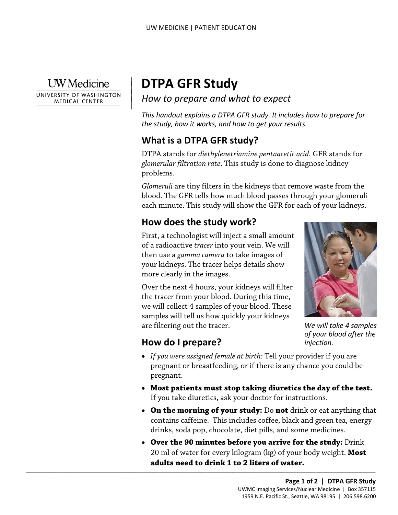**UW** Medicine

 $\vert$  $\parallel$ 

UNIVERSITY OF WASHINGTON **MEDICAL CENTER** 

# | **DTPA GFR Study**

*How to prepare and what to expect* 

*This handout explains a DTPA GFR study. It includes how to prepare for the study, how it works, and how to get your results.* 

#### **What is a DTPA GFR study?**

DTPA stands for *diethylenetriamine pentaacetic acid.* GFR stands for *glomerular filtration rate*. This study is done to diagnose kidney problems.

*Glomeruli* are tiny filters in the kidneys that remove waste from thood. The GFR tells how much blood passes through your glome<br>each minute. This study will show the GFR for each of your kidn<br>**How does the study work?**<br>Fi *Glomeruli* are tiny filters in the kidneys that remove waste from the blood. The GFR tells how much blood passes through your glomeruli each minute. This study will show the GFR for each of your kidneys.

### **How does the study work?**

First, a technologist will inject a small amount of a radioactive *tracer* into your vein. We will then use a *gamma camera* to take images of your kidneys. The tracer helps details show more clearly in the images.

Over the next 4 hours, your kidneys will filter the tracer from your blood. During this time, we will collect 4 samples of your blood. These samples will tell us how quickly your kidneys are filtering out the tracer.



*We will take 4 samples of your blood after the injection.* 

#### **How do I prepare?**

 $\_$  ,  $\_$  ,  $\_$  ,  $\_$  ,  $\_$  ,  $\_$  ,  $\_$  ,  $\_$  ,  $\_$  ,  $\_$  ,  $\_$  ,  $\_$  ,  $\_$  ,  $\_$  ,  $\_$  ,  $\_$  ,  $\_$  ,  $\_$  ,  $\_$  ,  $\_$  ,  $\_$  ,  $\_$  ,  $\_$  ,  $\_$  ,  $\_$  ,  $\_$  ,  $\_$  ,  $\_$  ,  $\_$  ,  $\_$  ,  $\_$  ,  $\_$  ,  $\_$  ,  $\_$  ,  $\_$  ,  $\_$  ,  $\_$  ,

- *If you were assigned female at birth:* Tell your provider if you are pregnant or breastfeeding, or if there is any chance you could be pregnant.
- **Most patients must stop taking diuretics the day of the test.**  If you take diuretics, ask your doctor for instructions.
- **On the morning of your study:** Do **not** drink or eat anything that contains caffeine. This includes coffee, black and green tea, energy drinks, soda pop, chocolate, diet pills, and some medicines.
- • **Over the 90 minutes before you arrive for the study:** Drink 20 ml of water for every kilogram (kg) of your body weight. **Most adults need to drink 1 to 2 liters of water.**